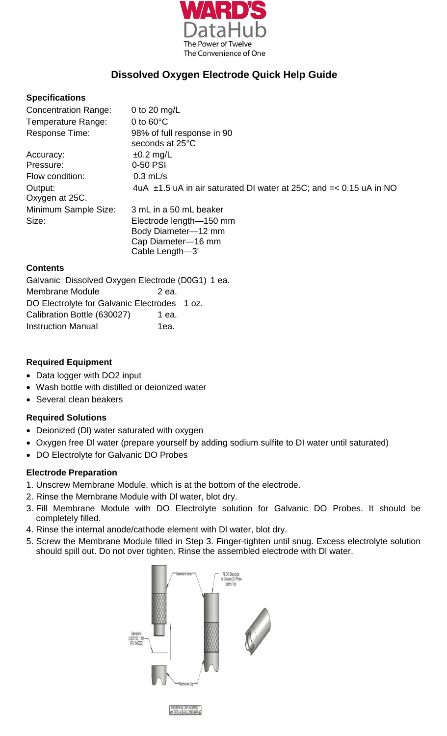

# **Dissolved Oxygen Electrode Quick Help Guide**

# **Specifications**

| <b>Concentration Range:</b> | 0 to 20 $mg/L$                                                            |
|-----------------------------|---------------------------------------------------------------------------|
| Temperature Range:          | 0 to $60^{\circ}$ C                                                       |
| Response Time:              | 98% of full response in 90<br>seconds at 25°C                             |
| Accuracy:                   | $\pm 0.2$ mg/L                                                            |
| Pressure:                   | 0-50 PSI                                                                  |
| Flow condition:             | $0.3$ mL/s                                                                |
| Output:<br>Oxygen at 25C.   | 4uA $\pm$ 1.5 uA in air saturated DI water at 25C; and $=< 0.15$ uA in NO |
| Minimum Sample Size:        | 3 mL in a 50 mL beaker                                                    |
| Size:                       | Electrode length-150 mm                                                   |
|                             | Body Diameter-12 mm                                                       |
|                             | Cap Diameter-16 mm                                                        |
|                             | Cable Length-3'                                                           |

# **Contents**

| Galvanic Dissolved Oxygen Electrode (D0G1) 1 ea. |       |  |  |
|--------------------------------------------------|-------|--|--|
| <b>Membrane Module</b>                           | 2 ea. |  |  |
| DO Electrolyte for Galvanic Electrodes 1 oz.     |       |  |  |
| Calibration Bottle (630027)                      | 1 ea. |  |  |
| <b>Instruction Manual</b>                        | 1ea.  |  |  |

# **Required Equipment**

- Data logger with DO2 input
- Wash bottle with distilled or deionized water
- Several clean beakers

# **Required Solutions**

- Deionized (Dl) water saturated with oxygen
- Oxygen free Dl water (prepare yourself by adding sodium sulfite to DI water until saturated)
- DO Electrolyte for Galvanic DO Probes

#### **Electrode Preparation**

- 1. Unscrew Membrane Module, which is at the bottom of the electrode.
- 2. Rinse the Membrane Module with Dl water, blot dry.
- 3. Fill Membrane Module with DO Electrolyte solution for Galvanic DO Probes. It should be completely filled.
- 4. Rinse the internal anode/cathode element with Dl water, blot dry.
- 5. Screw the Membrane Module filled in Step 3. Finger-tighten until snug. Excess electrolyte solution should spill out. Do not over tighten. Rinse the assembled electrode with Dl water.

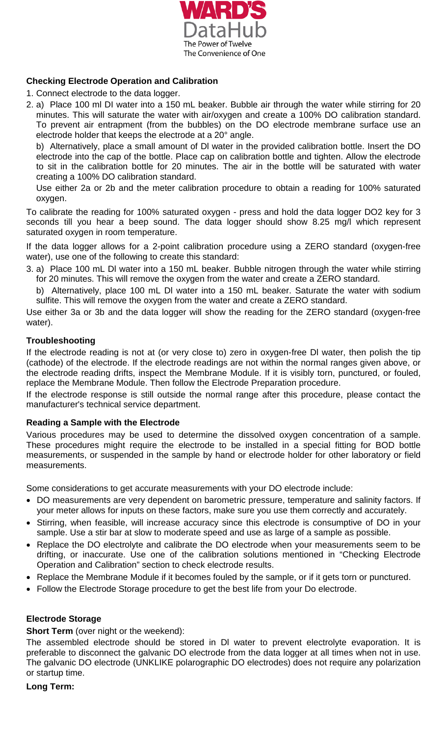

# **Checking Electrode Operation and Calibration**

- 1. Connect electrode to the data logger.
- 2. a) Place 100 ml DI water into a 150 mL beaker. Bubble air through the water while stirring for 20 minutes. This will saturate the water with air/oxygen and create a 100% DO calibration standard. To prevent air entrapment (from the bubbles) on the DO electrode membrane surface use an electrode holder that keeps the electrode at a 20° angle.

b) Alternatively, place a small amount of Dl water in the provided calibration bottle. Insert the DO electrode into the cap of the bottle. Place cap on calibration bottle and tighten. Allow the electrode to sit in the calibration bottle for 20 minutes. The air in the bottle will be saturated with water creating a 100% DO calibration standard.

Use either 2a or 2b and the meter calibration procedure to obtain a reading for 100% saturated oxygen.

To calibrate the reading for 100% saturated oxygen - press and hold the data logger DO2 key for 3 seconds till you hear a beep sound. The data logger should show 8.25 mg/l which represent saturated oxygen in room temperature.

If the data logger allows for a 2-point calibration procedure using a ZERO standard (oxygen-free water), use one of the following to create this standard:

3. a) Place 100 mL Dl water into a 150 mL beaker. Bubble nitrogen through the water while stirring for 20 minutes. This will remove the oxygen from the water and create a ZERO standard.

b) Alternatively, place 100 mL Dl water into a 150 mL beaker. Saturate the water with sodium sulfite. This will remove the oxygen from the water and create a ZERO standard.

Use either 3a or 3b and the data logger will show the reading for the ZERO standard (oxygen-free water).

#### **Troubleshooting**

If the electrode reading is not at (or very close to) zero in oxygen-free Dl water, then polish the tip (cathode) of the electrode. If the electrode readings are not within the normal ranges given above, or the electrode reading drifts, inspect the Membrane Module. If it is visibly torn, punctured, or fouled, replace the Membrane Module. Then follow the Electrode Preparation procedure.

If the electrode response is still outside the normal range after this procedure, please contact the manufacturer's technical service department.

#### **Reading a Sample with the Electrode**

Various procedures may be used to determine the dissolved oxygen concentration of a sample. These procedures might require the electrode to be installed in a special fitting for BOD bottle measurements, or suspended in the sample by hand or electrode holder for other laboratory or field measurements.

Some considerations to get accurate measurements with your DO electrode include:

- DO measurements are very dependent on barometric pressure, temperature and salinity factors. If your meter allows for inputs on these factors, make sure you use them correctly and accurately.
- Stirring, when feasible, will increase accuracy since this electrode is consumptive of DO in your sample. Use a stir bar at slow to moderate speed and use as large of a sample as possible.
- Replace the DO electrolyte and calibrate the DO electrode when your measurements seem to be drifting, or inaccurate. Use one of the calibration solutions mentioned in "Checking Electrode Operation and Calibration" section to check electrode results.
- Replace the Membrane Module if it becomes fouled by the sample, or if it gets torn or punctured.
- Follow the Electrode Storage procedure to get the best life from your Do electrode.

#### **Electrode Storage**

**Short Term** (over night or the weekend):

The assembled electrode should be stored in Dl water to prevent electrolyte evaporation. It is preferable to disconnect the galvanic DO electrode from the data logger at all times when not in use. The galvanic DO electrode (UNKLIKE polarographic DO electrodes) does not require any polarization or startup time.

#### **Long Term:**